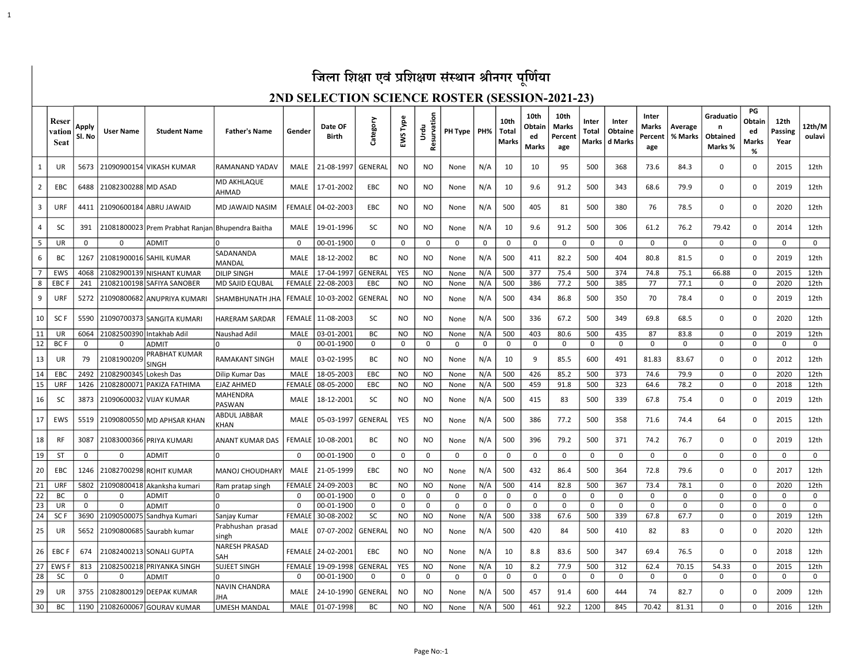### जिला शिक्षा एवं प्रशिक्षण संस्थान श्रीनगर पूर्णिया

1

#### 2ND SELECTION SCIENCE ROSTER (SESSION-2021-23)

|                | Reser<br>vation<br><b>Seat</b> | Apply<br>Sl. No | <b>User Name</b>          | <b>Student Name</b>                              | <b>Father's Name</b>        | Gender        | Date OF<br><b>Birth</b> | Category       | EWS Type       | Resurvation<br>Urdu | PH Type   PH% |     | 10th<br>Total<br><b>Marks</b> | 10th<br>Obtain<br>ed<br>Marks | 10th<br><b>Marks</b><br>Percent<br>age | Inter<br><b>Total</b><br>Marks | Inter<br>Obtaine<br>d Marks | Inter<br>Marks<br>Percent<br>age | Average<br>% Marks | Graduatio<br>n<br>Obtained<br>Marks % | PG<br>Obtain<br>ed<br>Marks<br>% | 12th<br><b>Passing</b><br>Year | 12th/M<br>oulavi |
|----------------|--------------------------------|-----------------|---------------------------|--------------------------------------------------|-----------------------------|---------------|-------------------------|----------------|----------------|---------------------|---------------|-----|-------------------------------|-------------------------------|----------------------------------------|--------------------------------|-----------------------------|----------------------------------|--------------------|---------------------------------------|----------------------------------|--------------------------------|------------------|
| $\mathbf{1}$   | UR                             | 5673            |                           | 21090900154 VIKASH KUMAR                         | <b>RAMANAND YADAV</b>       | <b>MALE</b>   | 21-08-1997              | GENERAL        | NO             | NO.                 | None          | N/A | 10                            | 10                            | 95                                     | 500                            | 368                         | 73.6                             | 84.3               | $\mathbf 0$                           | $\Omega$                         | 2015                           | 12th             |
| $\overline{2}$ | EBC                            | 6488            | 21082300288 MD ASAD       |                                                  | MD AKHLAQUE<br>AHMAD        | MALE          | 17-01-2002              | EBC            | NO.            | <b>NO</b>           | None          | N/A | 10                            | 9.6                           | 91.2                                   | 500                            | 343                         | 68.6                             | 79.9               | 0                                     | $\Omega$                         | 2019                           | 12th             |
| 3              | URF                            | 4411            |                           | 21090600184 ABRU JAWAID                          | MD JAWAID NASIM             | FEMALE        | 04-02-2003              | <b>EBC</b>     | NO             | NO                  | None          | N/A | 500                           | 405                           | 81                                     | 500                            | 380                         | 76                               | 78.5               | 0                                     | $\Omega$                         | 2020                           | 12th             |
| 4              | SC                             | 391             |                           | 21081800023 Prem Prabhat Ranjan Bhupendra Baitha |                             | MALE          | 19-01-1996              | SC             | NO.            | NO                  | None          | N/A | 10                            | 9.6                           | 91.2                                   | 500                            | 306                         | 61.2                             | 76.2               | 79.42                                 | 0                                | 2014                           | 12th             |
| 5              | UR                             | $\mathbf{0}$    | $\Omega$                  | <b>ADMIT</b>                                     | 0                           | 0             | 00-01-1900              | 0              | 0              | $\mathbf{0}$        | 0             | 0   | $\mathbf 0$                   | $\mathbf 0$                   | $\mathbf 0$                            | 0                              | $\mathbf 0$                 | $\mathbf 0$                      | $\mathbf{0}$       | 0                                     | 0                                | 0                              | $\Omega$         |
| 6              | BC                             | 1267            |                           | 21081900016 SAHIL KUMAR                          | SADANANDA<br>MANDAL         | MALE          | 18-12-2002              | BC             | NO.            | <b>NO</b>           | None          | N/A | 500                           | 411                           | 82.2                                   | 500                            | 404                         | 80.8                             | 81.5               | $\mathbf 0$                           | $\Omega$                         | 2019                           | 12th             |
| $\overline{7}$ | <b>EWS</b>                     | 4068            |                           | 21082900139 NISHANT KUMAR                        | <b>DILIP SINGH</b>          | MALE          | 17-04-1997              | <b>GENERAI</b> | <b>YES</b>     | N <sub>O</sub>      | None          | N/A | 500                           | 377                           | 75.4                                   | 500                            | 374                         | 74.8                             | 75.1               | 66.88                                 | 0                                | 2015                           | 12th             |
| 8              | <b>EBCF</b>                    | 241             |                           | 21082100198 SAFIYA SANOBER                       | MD SAJID EQUBAL             | <b>FEMALE</b> | 22-08-2003              | EBC            | <b>NO</b>      | <b>NO</b>           | None          | N/A | 500                           | 386                           | 77.2                                   | 500                            | 385                         | 77                               | 77.1               | 0                                     | $\mathbf 0$                      | 2020                           | 12th             |
| 9              | URF                            | 5272            |                           | 21090800682 ANUPRIYA KUMARI                      | SHAMBHUNATH JHA             | FEMALE        | 10-03-2002              | GENERAL        | NO.            | NO.                 | None          | N/A | 500                           | 434                           | 86.8                                   | 500                            | 350                         | 70                               | 78.4               | 0                                     | $\Omega$                         | 2019                           | 12th             |
| 10             | SC I                           | 5590            |                           | 21090700373 SANGITA KUMARI                       | HARERAM SARDAR              | <b>FEMALE</b> | 11-08-2003              | SC             | NO.            | <b>NO</b>           | None          | N/A | 500                           | 336                           | 67.2                                   | 500                            | 349                         | 69.8                             | 68.5               | $\mathbf 0$                           | $\Omega$                         | 2020                           | 12th             |
| 11             | UR                             | 6064            | 21082500390 Intakhab Adil |                                                  | Naushad Adil                | MALE          | 03-01-2001              | ВC             | NO.            | NO                  | None          | N/A | 500                           | 403                           | 80.6                                   | 500                            | 435                         | 87                               | 83.8               | 0                                     | $\Omega$                         | 2019                           | 12th             |
| 12             | <b>BCF</b>                     | 0               | $\Omega$                  | <b>ADMIT</b>                                     |                             | $\Omega$      | 00-01-1900              | $\mathbf 0$    | $\Omega$       | $\mathbf 0$         | $\mathbf 0$   | 0   | $\mathbf 0$                   | $\mathbf 0$                   | 0                                      | $\mathbf 0$                    | 0                           | $\mathbf 0$                      | 0                  | $\mathbf 0$                           | $\Omega$                         | 0                              | $\mathbf 0$      |
| 13             | UR                             | 79              | 21081900209               | PRABHAT KUMAR<br>SINGH                           | RAMAKANT SINGH              | MALE          | 03-02-1995              | BC             | NO.            | NO                  | None          | N/A | 10                            | 9                             | 85.5                                   | 600                            | 491                         | 81.83                            | 83.67              | 0                                     | $\Omega$                         | 2012                           | 12th             |
| 14             | EBC                            | 2492            | 21082900345               | Lokesh Das                                       | Dilip Kumar Das             | <b>MALE</b>   | 18-05-2003              | EBC            | N <sub>O</sub> | N <sub>O</sub>      | None          | N/A | 500                           | 426                           | 85.2                                   | 500                            | 373                         | 74.6                             | 79.9               | 0                                     | n                                | 2020                           | 12th             |
| 15             | URF                            | 1426            |                           | 21082800071 PAKIZA FATHIMA                       | <b>EJAZ AHMED</b>           | <b>FEMALE</b> | 08-05-2000              | EBC            | N <sub>O</sub> | N <sub>O</sub>      | None          | N/A | 500                           | 459                           | 91.8                                   | 500                            | 323                         | 64.6                             | 78.2               | 0                                     | $\Omega$                         | 2018                           | 12th             |
| 16             | <b>SC</b>                      | 3873            |                           | 21090600032 VIJAY KUMAR                          | MAHENDRA<br><b>PASWAN</b>   | MALE          | 18-12-2001              | SC             | NO             | <b>NO</b>           | None          | N/A | 500                           | 415                           | 83                                     | 500                            | 339                         | 67.8                             | 75.4               | 0                                     | O                                | 2019                           | 12th             |
| 17             | EWS                            | 5519            |                           | 21090800550 MD APHSAR KHAN                       | ABDUL JABBAR<br>KHAN        | MALE          | 05-03-1997              | GENERAL        | <b>YES</b>     | N <sub>O</sub>      | None          | N/A | 500                           | 386                           | 77.2                                   | 500                            | 358                         | 71.6                             | 74.4               | 64                                    | $\Omega$                         | 2015                           | 12th             |
| 18             | <b>RF</b>                      | 3087            |                           | 21083000366 PRIYA KUMARI                         | ANANT KUMAR DAS             | <b>FEMALE</b> | 10-08-2001              | BС             | NO.            | NO                  | None          | N/A | 500                           | 396                           | 79.2                                   | 500                            | 371                         | 74.2                             | 76.7               | 0                                     | $\Omega$                         | 2019                           | 12th             |
| 19             | ST                             | $\Omega$        | $\Omega$                  | ADMIT                                            |                             | $\Omega$      | 00-01-1900              | 0              | 0              | 0                   | $\Omega$      | 0   | 0                             | 0                             | 0                                      | $\Omega$                       | 0                           | 0                                | $\Omega$           | 0                                     | <sup>0</sup>                     | 0                              | 0                |
| 20             | EBC                            | 1246            | 21082700298               | <b>ROHIT KUMAR</b>                               | <b>MANOJ CHOUDHARY</b>      | MALE          | 21-05-1999              | EBC            | NO.            | <b>NO</b>           | None          | N/A | 500                           | 432                           | 86.4                                   | 500                            | 364                         | 72.8                             | 79.6               | 0                                     | $\Omega$                         | 2017                           | 12th             |
| 21             | URF                            | 5802            |                           | 21090800418 Akanksha kumari                      | Ram pratap singh            | <b>FEMALE</b> | 24-09-2003              | <b>BC</b>      | <b>NO</b>      | N <sub>O</sub>      | None          | N/A | 500                           | 414                           | 82.8                                   | 500                            | 367                         | 73.4                             | 78.1               | 0                                     | $\Omega$                         | 2020                           | 12th             |
| 22             | <b>BC</b>                      | 0               | $\Omega$                  | <b>ADMIT</b>                                     | 0                           | $\Omega$      | 00-01-1900              | $\Omega$       | $\Omega$       | $\mathbf 0$         | $\Omega$      | 0   | 0                             | $\mathbf 0$                   | $\Omega$                               | $\mathbf 0$                    | 0                           | $\mathbf 0$                      | 0                  | $\mathbf 0$                           | $\Omega$                         | 0                              | $\mathbf 0$      |
| 23             | UR                             | $\mathbf 0$     | 0                         | ADMIT                                            | <sup>0</sup>                | $\Omega$      | 00-01-1900              | 0              | $\mathbf 0$    | $\mathbf 0$         | 0             | 0   | $\mathbf 0$                   | $\mathbf 0$                   | 0                                      | $\mathbf 0$                    | 0                           | 0                                | $\Omega$           | $\mathbf 0$                           | $\Omega$                         | 0                              | $\mathbf 0$      |
| 24             | SC <sub>F</sub>                | 3690            | 21090500075               | Sandhya Kumari                                   | Sanjay Kumar                | <b>FEMALE</b> | 30-08-2002              | SC             | N <sub>O</sub> | N <sub>O</sub>      | None          | N/A | 500                           | 338                           | 67.6                                   | 500                            | 339                         | 67.8                             | 67.7               | $\mathbf 0$                           | $\Omega$                         | 2019                           | 12th             |
| 25             | UR                             | 5652            |                           | 21090800685 Saurabh kumar                        | Prabhushan prasad<br>singh  | MALE          | 07-07-2002              | <b>GENERAI</b> | NO             | <b>NO</b>           | None          | N/A | 500                           | 420                           | 84                                     | 500                            | 410                         | 82                               | 83                 | $\mathbf 0$                           | $\Omega$                         | 2020                           | 12th             |
| 26             | <b>EBCF</b>                    | 674             |                           | 21082400213 SONALI GUPTA                         | <b>NARESH PRASAD</b><br>SAH | <b>FEMALE</b> | 24-02-2001              | EBC            | NO             | NO.                 | None          | N/A | 10                            | 8.8                           | 83.6                                   | 500                            | 347                         | 69.4                             | 76.5               | $\mathbf 0$                           | <sup>0</sup>                     | 2018                           | 12th             |
| 27             | EWS                            | 813             |                           | 21082500218 PRIYANKA SINGH                       | SUJEET SINGH                | <b>FEMALE</b> | 19-09-1998              | <b>GENERA</b>  | <b>YES</b>     | N <sub>O</sub>      | None          | N/A | 10                            | 8.2                           | 77.9                                   | 500                            | 312                         | 62.4                             | 70.15              | 54.33                                 | $\Omega$                         | 2015                           | 12th             |
| 28             | <b>SC</b>                      | 0               | $\Omega$                  | ADMIT                                            |                             | $\Omega$      | 00-01-1900              | 0              | 0              | $\mathbf 0$         | 0             | 0   | 0                             | $\mathbf 0$                   | 0                                      | 0                              | 0                           | 0                                | 0                  | $\mathbf 0$                           | $\Omega$                         | 0                              | $\mathbf 0$      |
| 29             | UR                             | 3755            |                           | 21082800129 DEEPAK KUMAR                         | <b>NAVIN CHANDRA</b><br>JHA | MALE          | 24-10-1990              | <b>GENERAI</b> | NO             | <b>NO</b>           | None          | N/A | 500                           | 457                           | 91.4                                   | 600                            | 444                         | 74                               | 82.7               | $\mathbf 0$                           | $\Omega$                         | 2009                           | 12th             |
| 30             | ВC                             | 1190            |                           | 21082600067 GOURAV KUMAR                         | <b>UMESH MANDAL</b>         | MALE          | 01-07-1998              | BC             | NO.            | NO                  | None          | N/A | 500                           | 461                           | 92.2                                   | 1200                           | 845                         | 70.42                            | 81.31              | 0                                     | $\Omega$                         | 2016                           | 12th             |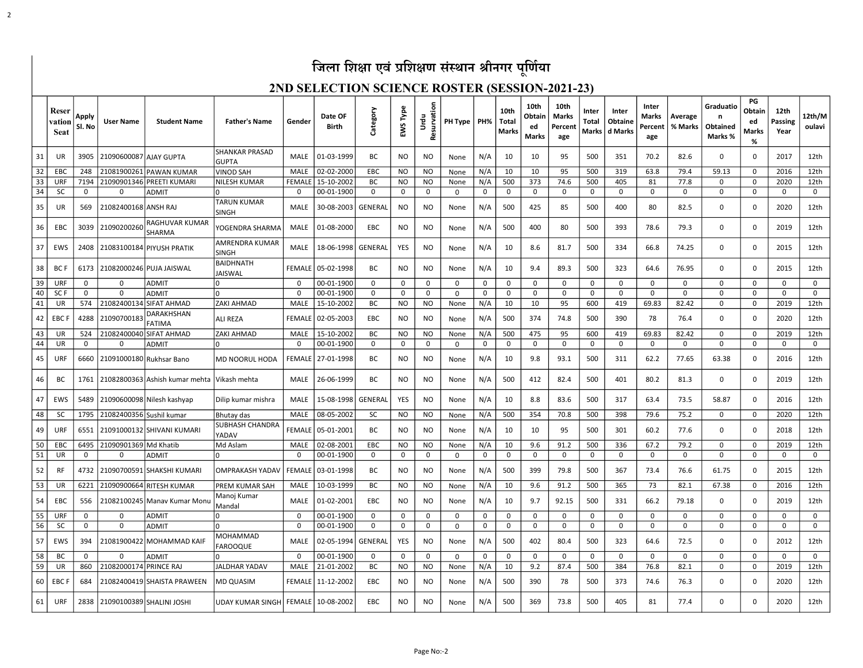# जिला शिक्षा एवं प्रशिक्षण संस्थान श्रीनगर पूर्णिया

2

#### 2ND SELECTION SCIENCE ROSTER (SESSION-2021-23)

|    | Reser<br>vation<br><b>Seat</b> | Apply<br>Sl. No | <b>User Name</b>         | <b>Student Name</b>            | <b>Father's Name</b>           | Gender        | Date OF<br><b>Birth</b> | Category  | EWS Type       | Resurvation<br>Urdu | PH Type   PH% |          | 10th<br><b>Total</b><br><b>Marks</b> | 10th<br>Obtain<br>ed<br>Marks | 10th<br>Marks<br>Percent<br>age | Inter<br>Total<br>Marks | Inter<br>Obtaine<br>d Marks | Inter<br>Marks<br>Percent<br>age | Average<br>% Marks | Graduatio<br>n<br>Obtained<br>Marks % | PG<br>Obtain<br>ed<br>Marks<br>% | 12th<br>Passing<br>Year | 12th/M<br>oulavi |
|----|--------------------------------|-----------------|--------------------------|--------------------------------|--------------------------------|---------------|-------------------------|-----------|----------------|---------------------|---------------|----------|--------------------------------------|-------------------------------|---------------------------------|-------------------------|-----------------------------|----------------------------------|--------------------|---------------------------------------|----------------------------------|-------------------------|------------------|
| 31 | UR                             | 3905            | 21090600087 AJAY GUPTA   |                                | SHANKAR PRASAD<br><b>GUPTA</b> | MALE          | 01-03-1999              | <b>BC</b> | N <sub>O</sub> | N <sub>O</sub>      | None          | N/A      | 10                                   | 10                            | 95                              | 500                     | 351                         | 70.2                             | 82.6               | 0                                     | $\Omega$                         | 2017                    | 12th             |
| 32 | EBC                            | 248             |                          | 21081900261 PAWAN KUMAR        | VINOD SAH                      | MALE          | 02-02-2000              | EBC       | <b>NO</b>      | NO.                 | None          | N/A      | 10                                   | 10                            | 95                              | 500                     | 319                         | 63.8                             | 79.4               | 59.13                                 | $\mathbf 0$                      | 2016                    | 12th             |
| 33 | URF                            | 7194            |                          | 21090901346 PREETI KUMARI      | NILESH KUMAR                   | <b>FEMALE</b> | 15-10-2002              | ВC        | NO.            | NO.                 | None          | N/A      | 500                                  | 373                           | 74.6                            | 500                     | 405                         | 81                               | 77.8               | $\Omega$                              | $\Omega$                         | 2020                    | 12th             |
| 34 | <b>SC</b>                      | 0               | 0                        | <b>ADMIT</b>                   | U                              | 0             | 00-01-1900              | 0         | 0              | 0                   | 0             | 0        | $\mathbf 0$                          | $\mathbf 0$                   | 0                               | 0                       | $\mathbf 0$                 | 0                                | $\mathbf 0$        | 0                                     | $\mathbf 0$                      | $\mathbf 0$             | $\mathbf 0$      |
| 35 | UR                             | 569             | 21082400168 ANSH RAJ     |                                | <b>TARUN KUMAR</b><br>SINGH    | MALE          | 30-08-2003              | GENERAL   | NO.            | <b>NO</b>           | None          | N/A      | 500                                  | 425                           | 85                              | 500                     | 400                         | 80                               | 82.5               | 0                                     | $\Omega$                         | 2020                    | 12th             |
| 36 | EBC                            | 3039            | 21090200260              | RAGHUVAR KUMAR<br>SHARMA       | YOGENDRA SHARMA                | MALE          | 01-08-2000              | EBC       | NO             | NO.                 | None          | N/A      | 500                                  | 400                           | 80                              | 500                     | 393                         | 78.6                             | 79.3               | 0                                     | $\Omega$                         | 2019                    | 12th             |
| 37 | EWS                            | 2408            |                          | 21083100184 PIYUSH PRATIK      | AMRENDRA KUMAR<br><b>SINGH</b> | MALE          | 18-06-1998              | GENERAL   | YES            | NO.                 | None          | N/A      | 10                                   | 8.6                           | 81.7                            | 500                     | 334                         | 66.8                             | 74.25              | 0                                     | n                                | 2015                    | 12th             |
| 38 | <b>BCF</b>                     | 6173            |                          | 21082000246 PUJA JAISWAL       | BAIDHNATH<br><b>JAISWAL</b>    |               | FEMALE 05-02-1998       | ВC        | NO.            | N <sub>O</sub>      | None          | N/A      | 10                                   | 9.4                           | 89.3                            | 500                     | 323                         | 64.6                             | 76.95              | $\mathbf 0$                           | $\Omega$                         | 2015                    | 12th             |
| 39 | URF                            | 0               | 0                        | <b>ADMIT</b>                   | $\Omega$                       | $\Omega$      | 00-01-1900              | 0         | 0              | 0                   | $\mathbf 0$   | 0        | 0                                    | 0                             | 0                               | 0                       | $\mathbf 0$                 | 0                                | 0                  | $\mathbf 0$                           | $\Omega$                         | $\mathbf 0$             | 0                |
| 40 | SC <sub>F</sub>                | $\Omega$        | $\Omega$                 | <b>ADMIT</b>                   | O                              | $\Omega$      | 00-01-1900              | 0         | $\Omega$       | 0                   | $\Omega$      | $\Omega$ | $\Omega$                             | 0                             | 0                               | $\Omega$                | $\Omega$                    | 0                                | 0                  | 0                                     | 0                                | $\Omega$                | $\Omega$         |
| 41 | UR                             | 574             | 21082400134              | <b>SIFAT AHMAD</b>             | ZAKI AHMAD                     | MALE          | 15-10-2002              | BC        | NO.            | NO                  | None          | N/A      | 10                                   | 10                            | 95                              | 600                     | 419                         | 69.83                            | 82.42              | $\Omega$                              | $\mathbf 0$                      | 2019                    | 12th             |
| 42 | <b>EBCF</b>                    | 4288            | 21090700183              | DARAKHSHAN<br><b>FATIMA</b>    | ALI REZA                       | <b>FEMALE</b> | 02-05-2003              | EBC       | NO.            | NO                  | None          | N/A      | 500                                  | 374                           | 74.8                            | 500                     | 390                         | 78                               | 76.4               | 0                                     | $\Omega$                         | 2020                    | 12th             |
| 43 | UR                             | 524             |                          | 21082400040 SIFAT AHMAD        | ZAKI AHMAD                     | MALE          | 15-10-2002              | ВC        | NO.            | NO.                 | None          | N/A      | 500                                  | 475                           | 95                              | 600                     | 419                         | 69.83                            | 82.42              | 0                                     | $\Omega$                         | 2019                    | 12th             |
| 44 | UR                             | $\Omega$        | $\Omega$                 | <b>ADMIT</b>                   |                                | $\Omega$      | 00-01-1900              | 0         | $\Omega$       | $\mathbf 0$         | 0             | 0        | $\Omega$                             | $\mathbf 0$                   | $\mathbf 0$                     | $\Omega$                | $\Omega$                    | 0                                | 0                  | 0                                     | $\Omega$                         | $\Omega$                | $\mathbf 0$      |
| 45 | URF                            | 6660            |                          | 21091000180 Rukhsar Bano       | MD NOORUL HODA                 | FEMALE        | 27-01-1998              | ВC        | NO.            | N <sub>O</sub>      | None          | N/A      | 10                                   | 9.8                           | 93.1                            | 500                     | 311                         | 62.2                             | 77.65              | 63.38                                 | $\Omega$                         | 2016                    | 12th             |
| 46 | BC                             | 1761            |                          | 21082800363 Ashish kumar mehta | Vikash mehta                   | MALE          | 26-06-1999              | ВC        | NO             | NO.                 | None          | N/A      | 500                                  | 412                           | 82.4                            | 500                     | 401                         | 80.2                             | 81.3               | 0                                     | $\Omega$                         | 2019                    | 12th             |
| 47 | EWS                            | 5489            |                          | 21090600098 Nilesh kashyap     | Dilip kumar mishra             | MALE          | 15-08-1998              | GENERAL   | YES            | NO.                 | None          | N/A      | 10                                   | 8.8                           | 83.6                            | 500                     | 317                         | 63.4                             | 73.5               | 58.87                                 | $\Omega$                         | 2016                    | 12th             |
| 48 | <b>SC</b>                      | 1795            | 21082400356 Sushil kumar |                                | Bhutay das                     | MALE          | 08-05-2002              | SC        | <b>NO</b>      | N <sub>O</sub>      | None          | N/A      | 500                                  | 354                           | 70.8                            | 500                     | 398                         | 79.6                             | 75.2               | 0                                     | 0                                | 2020                    | 12th             |
| 49 | URF                            | 6551            |                          | 21091000132 SHIVANI KUMARI     | SUBHASH CHANDRA<br>YADAV       | <b>FEMALE</b> | 05-01-2001              | ВC        | NO.            | <b>NO</b>           | None          | N/A      | 10                                   | 10                            | 95                              | 500                     | 301                         | 60.2                             | 77.6               | $\Omega$                              | $\Omega$                         | 2018                    | 12th             |
| 50 | EBC                            | 6495            | 21090901369 Md Khatib    |                                | Md Aslam                       | MALE          | 02-08-2001              | EBC       | NO.            | NO.                 | None          | N/A      | 10                                   | 9.6                           | 91.2                            | 500                     | 336                         | 67.2                             | 79.2               | 0                                     | $\Omega$                         | 2019                    | 12th             |
| 51 | UR                             | 0               | $\Omega$                 | <b>ADMIT</b>                   | O                              | $\mathbf 0$   | 00-01-1900              | 0         | 0              | $\mathbf 0$         | 0             | 0        | $\mathbf 0$                          | $\mathbf 0$                   | 0                               | $\mathbf 0$             | $\mathbf 0$                 | 0                                | $\mathbf 0$        | $\mathbf 0$                           | $\mathbf{0}$                     | $\mathbf 0$             | $\mathbf 0$      |
| 52 | RF                             | 4732            | 21090700591              | SHAKSHI KUMARI                 | <b>OMPRAKASH YADAV</b>         | <b>FEMALE</b> | 03-01-1998              | ВC        | NO.            | N <sub>O</sub>      | None          | N/A      | 500                                  | 399                           | 79.8                            | 500                     | 367                         | 73.4                             | 76.6               | 61.75                                 | $\Omega$                         | 2015                    | 12th             |
| 53 | UR                             | 6221            |                          | 21090900664 RITESH KUMAR       | PREM KUMAR SAH                 | MALE          | 10-03-1999              | ВC        | <b>NO</b>      | NO.                 | None          | N/A      | 10                                   | 9.6                           | 91.2                            | 500                     | 365                         | 73                               | 82.1               | 67.38                                 | $\Omega$                         | 2016                    | 12th             |
| 54 | EBC                            | 556             |                          | 21082100245 Manav Kumar Monu   | Manoj Kumar<br>Mandal          | MALE          | 01-02-2001              | EBC       | <b>NO</b>      | N <sub>O</sub>      | None          | N/A      | 10                                   | 9.7                           | 92.15                           | 500                     | 331                         | 66.2                             | 79.18              | 0                                     | $\Omega$                         | 2019                    | 12th             |
| 55 | URF                            | 0               | $\mathbf 0$              | <b>ADMIT</b>                   | O                              | $\mathbf 0$   | 00-01-1900              | 0         | $\mathbf 0$    | $\mathbf 0$         | 0             | $\Omega$ | $\mathbf 0$                          | $\mathbf 0$                   | $\mathbf 0$                     | $\mathbf 0$             | $\mathbf 0$                 | $\mathbf 0$                      | $\mathbf 0$        | $\Omega$                              | $\Omega$                         | $\mathbf 0$             | $\mathbf 0$      |
| 56 | <b>SC</b>                      | $\mathbf 0$     | $\Omega$                 | <b>ADMIT</b>                   | O                              | $\Omega$      | 00-01-1900              | 0         | $\mathbf 0$    | $\mathbf 0$         | 0             | 0        | $\mathbf 0$                          | $\mathbf 0$                   | $\mathbf 0$                     | $\mathbf 0$             | $\mathbf 0$                 | $\mathbf 0$                      | $\mathbf 0$        | $\Omega$                              | $\Omega$                         | $\Omega$                | $\mathbf 0$      |
| 57 | EWS                            | 394             | 21081900422              | MOHAMMAD KAIF                  | MOHAMMAD<br><b>FAROOQUE</b>    | <b>MALE</b>   | 02-05-1994              | GENERAL   | YES            | N <sub>O</sub>      | None          | N/A      | 500                                  | 402                           | 80.4                            | 500                     | 323                         | 64.6                             | 72.5               | $\Omega$                              | $\Omega$                         | 2012                    | 12th             |
| 58 | ВC                             | $\Omega$        | $\Omega$                 | <b>ADMIT</b>                   |                                | $\Omega$      | 00-01-1900              | 0         | $\Omega$       | 0                   | $\Omega$      | $\Omega$ | 0                                    | 0                             | 0                               | $\Omega$                | $\Omega$                    | 0                                | $\mathbf 0$        | 0                                     | $\Omega$                         | $\Omega$                | 0                |
| 59 | UR                             | 860             | 21082000174 PRINCE RAJ   |                                | JALDHAR YADAV                  | MALE          | 21-01-2002              | BC        | NO.            | NO.                 | None          | N/A      | 10                                   | 9.2                           | 87.4                            | 500                     | 384                         | 76.8                             | 82.1               | 0                                     | $\mathbf 0$                      | 2019                    | 12th             |
| 60 | <b>EBCF</b>                    | 684             |                          | 21082400419 SHAISTA PRAWEEN    | MD QUASIM                      | FEMALE        | 11-12-2002              | EBC       | NO.            | NO                  | None          | N/A      | 500                                  | 390                           | 78                              | 500                     | 373                         | 74.6                             | 76.3               | 0                                     | $\Omega$                         | 2020                    | 12th             |
| 61 | URF                            | 2838            |                          | 21090100389 SHALINI JOSHI      | UDAY KUMAR SINGH               | <b>FEMALE</b> | 10-08-2002              | EBC       | N <sub>O</sub> | N <sub>O</sub>      | None          | N/A      | 500                                  | 369                           | 73.8                            | 500                     | 405                         | 81                               | 77.4               | $\Omega$                              | $\Omega$                         | 2020                    | 12th             |